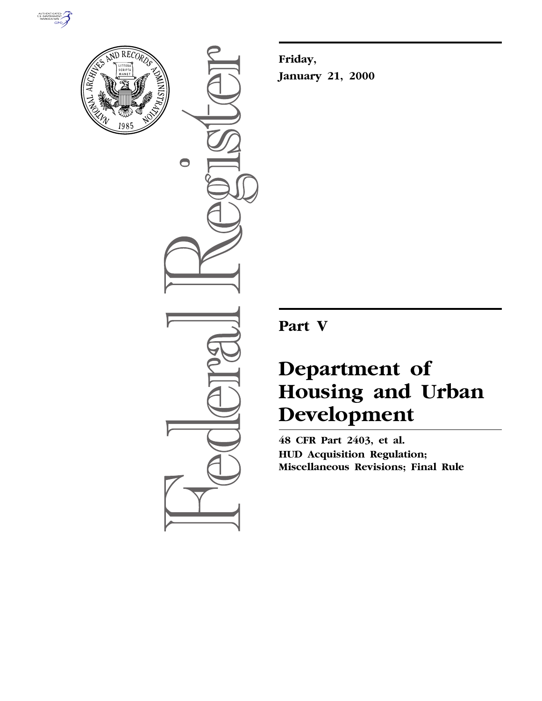



 $\bigcirc$ 

**Friday, January 21, 2000**

**Part V**

# **Department of Housing and Urban Development**

**48 CFR Part 2403, et al. HUD Acquisition Regulation; Miscellaneous Revisions; Final Rule**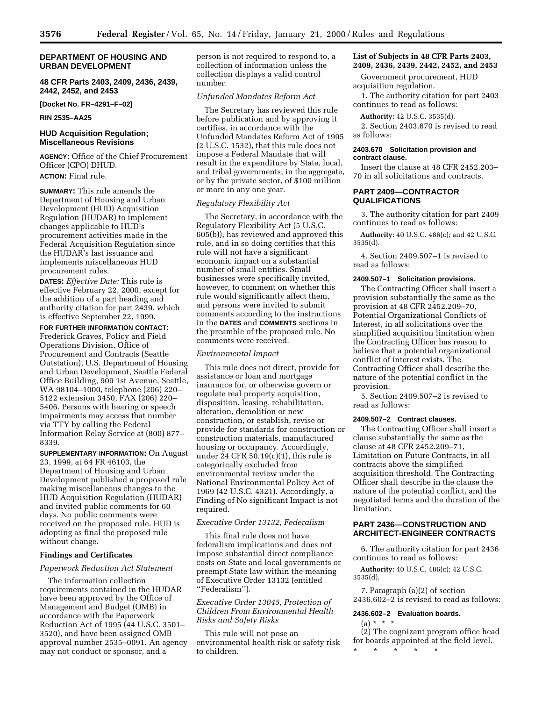## **DEPARTMENT OF HOUSING AND URBAN DEVELOPMENT**

**48 CFR Parts 2403, 2409, 2436, 2439, 2442, 2452, and 2453**

**[Docket No. FR–4291–F–02]**

**RIN 2535–AA25**

## **HUD Acquisition Regulation; Miscellaneous Revisions**

**AGENCY:** Office of the Chief Procurement Officer (CPO) DHUD. **ACTION:** Final rule.

**SUMMARY:** This rule amends the Department of Housing and Urban Development (HUD) Acquisition Regulation (HUDAR) to implement changes applicable to HUD's procurement activities made in the Federal Acquisition Regulation since the HUDAR's last issuance and implements miscellaneous HUD procurement rules.

**DATES:** *Effective Date:* This rule is effective February 22, 2000, except for the addition of a part heading and authority citation for part 2439, which is effective September 22, 1999.

#### **FOR FURTHER INFORMATION CONTACT:**

Frederick Graves, Policy and Field Operations Division, Office of Procurement and Contracts (Seattle Outstation), U.S. Department of Housing and Urban Development, Seattle Federal Office Building, 909 1st Avenue, Seattle, WA 98104–1000, telephone (206) 220– 5122 extension 3450, FAX (206) 220– 5406. Persons with hearing or speech impairments may access that number via TTY by calling the Federal Information Relay Service at (800) 877– 8339.

**SUPPLEMENTARY INFORMATION:** On August 23, 1999, at 64 FR 46103, the Department of Housing and Urban Development published a proposed rule making miscellaneous changes to the HUD Acquisition Regulation (HUDAR) and invited public comments for 60 days. No public comments were received on the proposed rule. HUD is adopting as final the proposed rule without change.

## **Findings and Certificates**

## *Paperwork Reduction Act Statement*

The information collection requirements contained in the HUDAR have been approved by the Office of Management and Budget (OMB) in accordance with the Paperwork Reduction Act of 1995 (44 U.S.C. 3501– 3520), and have been assigned OMB approval number 2535–0091. An agency may not conduct or sponsor, and a

person is not required to respond to, a collection of information unless the collection displays a valid control number.

## *Unfunded Mandates Reform Act*

The Secretary has reviewed this rule before publication and by approving it certifies, in accordance with the Unfunded Mandates Reform Act of 1995 (2 U.S.C. 1532), that this rule does not impose a Federal Mandate that will result in the expenditure by State, local, and tribal governments, in the aggregate, or by the private sector, of \$100 million or more in any one year.

## *Regulatory Flexibility Act*

The Secretary, in accordance with the Regulatory Flexibility Act (5 U.S.C. 605(b)), has reviewed and approved this rule, and in so doing certifies that this rule will not have a significant economic impact on a substantial number of small entities. Small businesses were specifically invited, however, to comment on whether this rule would significantly affect them, and persons were invited to submit comments according to the instructions in the **DATES** and **COMMENTS** sections in the preamble of the proposed rule. No comments were received.

#### *Environmental Impact*

This rule does not direct, provide for assistance or loan and mortgage insurance for, or otherwise govern or regulate real property acquisition, disposition, leasing, rehabilitation, alteration, demolition or new construction, or establish, revise or provide for standards for construction or construction materials, manufactured housing or occupancy. Accordingly, under 24 CFR  $50.19(c)(1)$ , this rule is categorically excluded from environmental review under the National Environmental Policy Act of 1969 (42 U.S.C. 4321). Accordingly, a Finding of No significant Impact is not required.

#### *Executive Order 13132, Federalism*

This final rule does not have federalism implications and does not impose substantial direct compliance costs on State and local governments or preempt State law within the meaning of Executive Order 13132 (entitled ''Federalism'').

## *Executive Order 13045, Protection of Children From Environmental Health Risks and Safety Risks*

This rule will not pose an environmental health risk or safety risk to children.

## **List of Subjects in 48 CFR Parts 2403, 2409, 2436, 2439, 2442, 2452, and 2453**

Government procurement, HUD acquisition regulation.

1. The authority citation for part 2403 continues to read as follows:

**Authority:** 42 U.S.C. 3535(d).

2. Section 2403.670 is revised to read as follows:

#### **2403.670 Solicitation provision and contract clause.**

Insert the clause at 48 CFR 2452.203– 70 in all solicitations and contracts.

## **PART 2409—CONTRACTOR QUALIFICATIONS**

3. The authority citation for part 2409 continues to read as follows:

**Authority:** 40 U.S.C. 486(c); and 42 U.S.C. 3535(d).

4. Section 2409.507–1 is revised to read as follows:

#### **2409.507–1 Solicitation provisions.**

The Contracting Officer shall insert a provision substantially the same as the provision at 48 CFR 2452.209–70, Potential Organizational Conflicts of Interest, in all solicitations over the simplified acquisition limitation when the Contracting Officer has reason to believe that a potential organizational conflict of interest exists. The Contracting Officer shall describe the nature of the potential conflict in the provision.

5. Section 2409.507–2 is revised to read as follows:

#### **2409.507–2 Contract clauses.**

The Contracting Officer shall insert a clause substantially the same as the clause at 48 CFR 2452.209–71, Limitation on Future Contracts, in all contracts above the simplified acquisition threshold. The Contracting Officer shall describe in the clause the nature of the potential conflict, and the negotiated terms and the duration of the limitation.

## **PART 2436—CONSTRUCTION AND ARCHITECT-ENGINEER CONTRACTS**

6. The authority citation for part 2436 continues to read as follows:

**Authority:** 40 U.S.C. 486(c); 42 U.S.C. 3535(d).

7. Paragraph (a)(2) of section 2436.602–2 is revised to read as follows:

#### **2436.602–2 Evaluation boards.**

 $(a) * * * *$ 

(2) The cognizant program office head for boards appointed at the field level. \* \* \* \* \*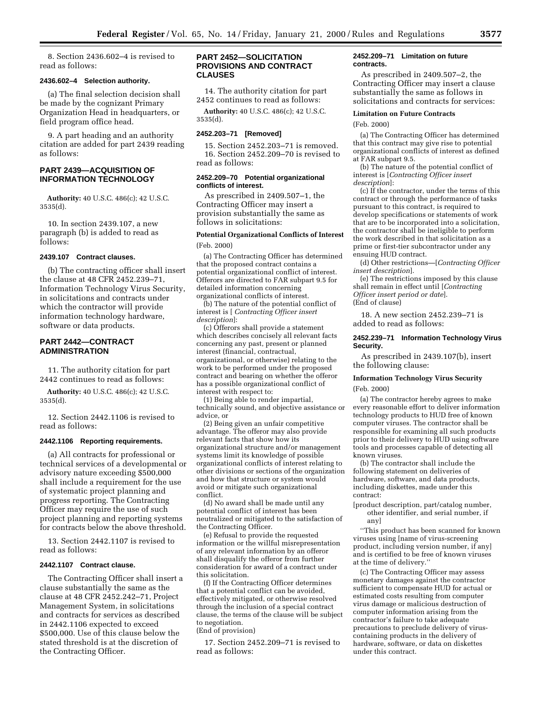8. Section 2436.602–4 is revised to read as follows:

#### **2436.602–4 Selection authority.**

(a) The final selection decision shall be made by the cognizant Primary Organization Head in headquarters, or field program office head.

9. A part heading and an authority citation are added for part 2439 reading as follows:

## **PART 2439—ACQUISITION OF INFORMATION TECHNOLOGY**

**Authority:** 40 U.S.C. 486(c); 42 U.S.C. 3535(d).

10. In section 2439.107, a new paragraph (b) is added to read as follows:

## **2439.107 Contract clauses.**

(b) The contracting officer shall insert the clause at 48 CFR 2452.239–71, Information Technology Virus Security, in solicitations and contracts under which the contractor will provide information technology hardware, software or data products.

## **PART 2442—CONTRACT ADMINISTRATION**

11. The authority citation for part 2442 continues to read as follows:

**Authority:** 40 U.S.C. 486(c); 42 U.S.C. 3535(d).

12. Section 2442.1106 is revised to read as follows:

## **2442.1106 Reporting requirements.**

(a) All contracts for professional or technical services of a developmental or advisory nature exceeding \$500,000 shall include a requirement for the use of systematic project planning and progress reporting. The Contracting Officer may require the use of such project planning and reporting systems for contracts below the above threshold.

13. Section 2442.1107 is revised to read as follows:

#### **2442.1107 Contract clause.**

The Contracting Officer shall insert a clause substantially the same as the clause at 48 CFR 2452.242–71, Project Management System, in solicitations and contracts for services as described in 2442.1106 expected to exceed \$500,000. Use of this clause below the stated threshold is at the discretion of the Contracting Officer.

#### **PART 2452—SOLICITATION PROVISIONS AND CONTRACT CLAUSES**

14. The authority citation for part 2452 continues to read as follows:

**Authority:** 40 U.S.C. 486(c); 42 U.S.C. 3535(d).

#### **2452.203–71 [Removed]**

15. Section 2452.203–71 is removed. 16. Section 2452.209–70 is revised to read as follows:

#### **2452.209–70 Potential organizational conflicts of interest.**

As prescribed in 2409.507–1, the Contracting Officer may insert a provision substantially the same as follows in solicitations:

#### **Potential Organizational Conflicts of Interest** (Feb. 2000)

(a) The Contracting Officer has determined that the proposed contract contains a potential organizational conflict of interest. Offerors are directed to FAR subpart 9.5 for detailed information concerning organizational conflicts of interest.

(b) The nature of the potential conflict of interest is [ *Contracting Officer insert description*]:

(c) Offerors shall provide a statement which describes concisely all relevant facts concerning any past, present or planned interest (financial, contractual, organizational, or otherwise) relating to the work to be performed under the proposed contract and bearing on whether the offeror has a possible organizational conflict of interest with respect to:

(1) Being able to render impartial, technically sound, and objective assistance or advice, or

(2) Being given an unfair competitive advantage. The offeror may also provide relevant facts that show how its organizational structure and/or management systems limit its knowledge of possible organizational conflicts of interest relating to other divisions or sections of the organization and how that structure or system would avoid or mitigate such organizational conflict.

(d) No award shall be made until any potential conflict of interest has been neutralized or mitigated to the satisfaction of the Contracting Officer.

(e) Refusal to provide the requested information or the willful misrepresentation of any relevant information by an offeror shall disqualify the offeror from further consideration for award of a contract under this solicitation.

(f) If the Contracting Officer determines that a potential conflict can be avoided, effectively mitigated, or otherwise resolved through the inclusion of a special contract clause, the terms of the clause will be subject to negotiation.

## (End of provision)

17. Section 2452.209–71 is revised to read as follows:

#### **2452.209–71 Limitation on future contracts.**

As prescribed in 2409.507–2, the Contracting Officer may insert a clause substantially the same as follows in solicitations and contracts for services:

#### **Limitation on Future Contracts**

(Feb. 2000)

(a) The Contracting Officer has determined that this contract may give rise to potential organizational conflicts of interest as defined at FAR subpart 9.5.

(b) The nature of the potential conflict of interest is [*Contracting Officer insert description*]:

(c) If the contractor, under the terms of this contract or through the performance of tasks pursuant to this contract, is required to develop specifications or statements of work that are to be incorporated into a solicitation, the contractor shall be ineligible to perform the work described in that solicitation as a prime or first-tier subcontractor under any ensuing HUD contract.

(d) Other restrictions—[*Contracting Officer insert description*].

(e) The restrictions imposed by this clause shall remain in effect until [*Contracting Officer insert period or date*]. (End of clause)

18. A new section 2452.239–71 is added to read as follows:

#### **2452.239–71 Information Technology Virus Security.**

As prescribed in 2439.107(b), insert the following clause:

## **Information Technology Virus Security** (Feb. 2000)

(a) The contractor hereby agrees to make every reasonable effort to deliver information technology products to HUD free of known computer viruses. The contractor shall be responsible for examining all such products prior to their delivery to HUD using software tools and processes capable of detecting all known viruses.

(b) The contractor shall include the following statement on deliveries of hardware, software, and data products, including diskettes, made under this contract:

[product description, part/catalog number, other identifier, and serial number, if any]

''This product has been scanned for known viruses using [name of virus-screening product, including version number, if any] and is certified to be free of known viruses at the time of delivery.''

(c) The Contracting Officer may assess monetary damages against the contractor sufficient to compensate HUD for actual or estimated costs resulting from computer virus damage or malicious destruction of computer information arising from the contractor's failure to take adequate precautions to preclude delivery of viruscontaining products in the delivery of hardware, software, or data on diskettes under this contract.